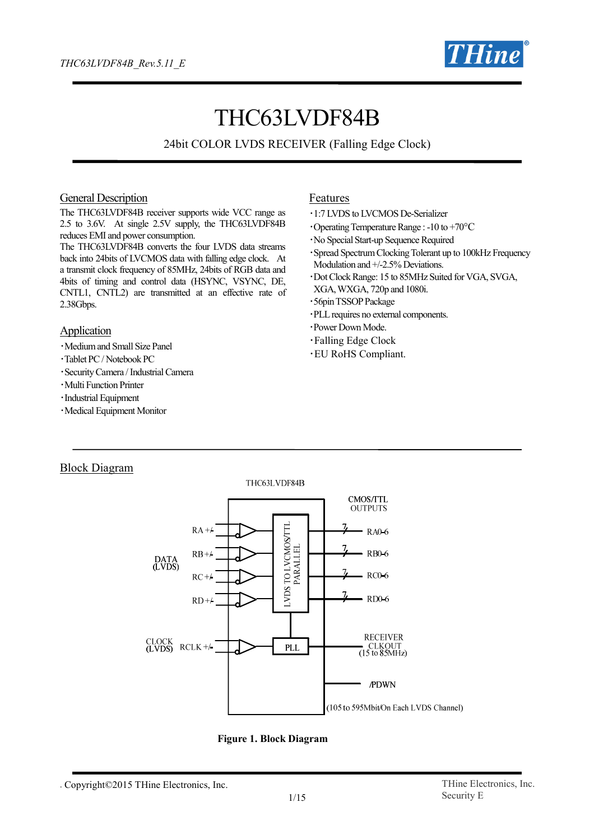

# THC63LVDF84B

24bit COLOR LVDS RECEIVER (Falling Edge Clock)

#### General Description

The THC63LVDF84B receiver supports wide VCC range as 2.5 to 3.6V. At single 2.5V supply, the THC63LVDF84B reduces EMI and power consumption.

The THC63LVDF84B converts the four LVDS data streams back into 24bits of LVCMOS data with falling edge clock. At a transmit clock frequency of 85MHz, 24bits of RGB data and 4bits of timing and control data (HSYNC, VSYNC, DE, CNTL1, CNTL2) are transmitted at an effective rate of 2.38Gbps.

#### Application

- ・Medium and Small Size Panel
- ・Tablet PC / Notebook PC
- ・Security Camera / Industrial Camera
- ・Multi Function Printer
- ・Industrial Equipment
- ・Medical Equipment Monitor

#### Features

- ・1:7 LVDS to LVCMOS De-Serializer
- $\cdot$ Operating Temperature Range : -10 to +70 $\rm{^{\circ}C}$
- ・No Special Start-up Sequence Required
- ・Spread Spectrum Clocking Tolerant up to 100kHz Frequency Modulation and  $+/2.5%$  Deviations.
- ・Dot Clock Range: 15 to 85MHz Suited for VGA, SVGA, XGA, WXGA, 720p and 1080i.
- ・56pinTSSOPPackage
- ・PLLrequires no external components.
- ・Power Down Mode.
- ・Falling Edge Clock
- ・EU RoHS Compliant.

#### Block Diagram



**Figure 1. Block Diagram**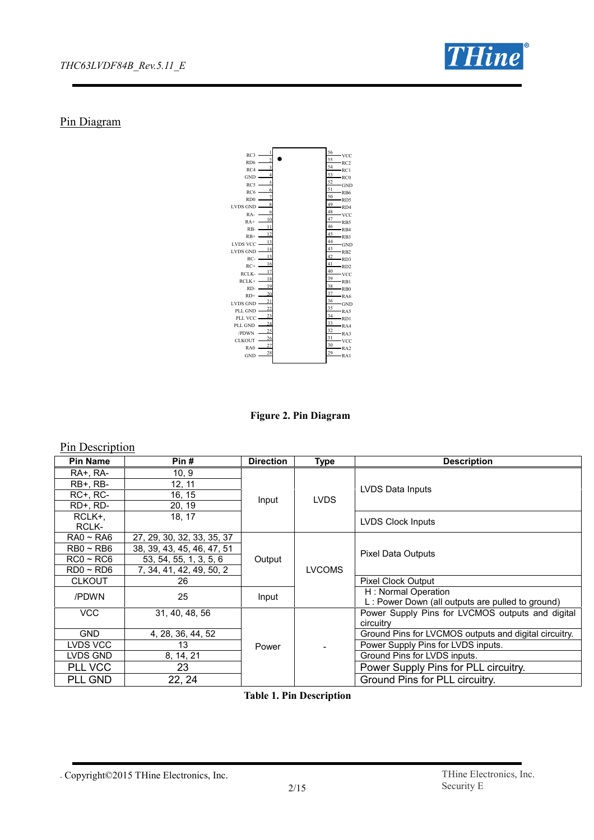

### Pin Diagram



**Figure 2. Pin Diagram**

#### Pin Description

| Pin#<br><b>Direction</b><br><b>Description</b><br><b>Pin Name</b><br><b>Type</b><br>10, 9<br><b>RA+, RA-</b><br>$RB+$ , $RB-$<br>12, 11<br>LVDS Data Inputs<br><b>RC+, RC-</b><br>16, 15<br><b>LVDS</b><br>Input<br>RD+, RD-<br>20, 19<br>18, 17<br>RCLK+.<br><b>LVDS Clock Inputs</b><br>RCLK-<br>$RA0 \sim RA6$<br>27, 29, 30, 32, 33, 35, 37<br>$RBO \sim RB6$<br>38, 39, 43, 45, 46, 47, 51<br><b>Pixel Data Outputs</b><br>$RC0 \sim RC6$<br>53, 54, 55, 1, 3, 5, 6<br>Output<br><b>LVCOMS</b><br>$RDO \sim RDS$<br>7, 34, 41, 42, 49, 50, 2<br><b>CLKOUT</b><br>26<br>Pixel Clock Output<br>H: Normal Operation<br>/PDWN<br>25<br>Input<br>L: Power Down (all outputs are pulled to ground)<br><b>VCC</b><br>31, 40, 48, 56<br>Power Supply Pins for LVCMOS outputs and digital<br>circuitry<br><b>GND</b><br>Ground Pins for LVCMOS outputs and digital circuitry.<br>4, 28, 36, 44, 52<br>LVDS VCC<br>Power Supply Pins for LVDS inputs.<br>13<br>Power<br>Ground Pins for LVDS inputs.<br>LVDS GND<br>8, 14, 21<br>PLL VCC<br>23<br>Power Supply Pins for PLL circuitry.<br>PLL GND<br>Ground Pins for PLL circuitry.<br>22, 24 |  |  |  |  |  |  |  |  |
|------------------------------------------------------------------------------------------------------------------------------------------------------------------------------------------------------------------------------------------------------------------------------------------------------------------------------------------------------------------------------------------------------------------------------------------------------------------------------------------------------------------------------------------------------------------------------------------------------------------------------------------------------------------------------------------------------------------------------------------------------------------------------------------------------------------------------------------------------------------------------------------------------------------------------------------------------------------------------------------------------------------------------------------------------------------------------------------------------------------------------------------|--|--|--|--|--|--|--|--|
|                                                                                                                                                                                                                                                                                                                                                                                                                                                                                                                                                                                                                                                                                                                                                                                                                                                                                                                                                                                                                                                                                                                                          |  |  |  |  |  |  |  |  |
|                                                                                                                                                                                                                                                                                                                                                                                                                                                                                                                                                                                                                                                                                                                                                                                                                                                                                                                                                                                                                                                                                                                                          |  |  |  |  |  |  |  |  |
|                                                                                                                                                                                                                                                                                                                                                                                                                                                                                                                                                                                                                                                                                                                                                                                                                                                                                                                                                                                                                                                                                                                                          |  |  |  |  |  |  |  |  |
|                                                                                                                                                                                                                                                                                                                                                                                                                                                                                                                                                                                                                                                                                                                                                                                                                                                                                                                                                                                                                                                                                                                                          |  |  |  |  |  |  |  |  |
|                                                                                                                                                                                                                                                                                                                                                                                                                                                                                                                                                                                                                                                                                                                                                                                                                                                                                                                                                                                                                                                                                                                                          |  |  |  |  |  |  |  |  |
|                                                                                                                                                                                                                                                                                                                                                                                                                                                                                                                                                                                                                                                                                                                                                                                                                                                                                                                                                                                                                                                                                                                                          |  |  |  |  |  |  |  |  |
|                                                                                                                                                                                                                                                                                                                                                                                                                                                                                                                                                                                                                                                                                                                                                                                                                                                                                                                                                                                                                                                                                                                                          |  |  |  |  |  |  |  |  |
|                                                                                                                                                                                                                                                                                                                                                                                                                                                                                                                                                                                                                                                                                                                                                                                                                                                                                                                                                                                                                                                                                                                                          |  |  |  |  |  |  |  |  |
|                                                                                                                                                                                                                                                                                                                                                                                                                                                                                                                                                                                                                                                                                                                                                                                                                                                                                                                                                                                                                                                                                                                                          |  |  |  |  |  |  |  |  |
|                                                                                                                                                                                                                                                                                                                                                                                                                                                                                                                                                                                                                                                                                                                                                                                                                                                                                                                                                                                                                                                                                                                                          |  |  |  |  |  |  |  |  |
|                                                                                                                                                                                                                                                                                                                                                                                                                                                                                                                                                                                                                                                                                                                                                                                                                                                                                                                                                                                                                                                                                                                                          |  |  |  |  |  |  |  |  |
|                                                                                                                                                                                                                                                                                                                                                                                                                                                                                                                                                                                                                                                                                                                                                                                                                                                                                                                                                                                                                                                                                                                                          |  |  |  |  |  |  |  |  |
|                                                                                                                                                                                                                                                                                                                                                                                                                                                                                                                                                                                                                                                                                                                                                                                                                                                                                                                                                                                                                                                                                                                                          |  |  |  |  |  |  |  |  |
|                                                                                                                                                                                                                                                                                                                                                                                                                                                                                                                                                                                                                                                                                                                                                                                                                                                                                                                                                                                                                                                                                                                                          |  |  |  |  |  |  |  |  |
|                                                                                                                                                                                                                                                                                                                                                                                                                                                                                                                                                                                                                                                                                                                                                                                                                                                                                                                                                                                                                                                                                                                                          |  |  |  |  |  |  |  |  |
|                                                                                                                                                                                                                                                                                                                                                                                                                                                                                                                                                                                                                                                                                                                                                                                                                                                                                                                                                                                                                                                                                                                                          |  |  |  |  |  |  |  |  |
|                                                                                                                                                                                                                                                                                                                                                                                                                                                                                                                                                                                                                                                                                                                                                                                                                                                                                                                                                                                                                                                                                                                                          |  |  |  |  |  |  |  |  |
|                                                                                                                                                                                                                                                                                                                                                                                                                                                                                                                                                                                                                                                                                                                                                                                                                                                                                                                                                                                                                                                                                                                                          |  |  |  |  |  |  |  |  |
|                                                                                                                                                                                                                                                                                                                                                                                                                                                                                                                                                                                                                                                                                                                                                                                                                                                                                                                                                                                                                                                                                                                                          |  |  |  |  |  |  |  |  |
|                                                                                                                                                                                                                                                                                                                                                                                                                                                                                                                                                                                                                                                                                                                                                                                                                                                                                                                                                                                                                                                                                                                                          |  |  |  |  |  |  |  |  |
|                                                                                                                                                                                                                                                                                                                                                                                                                                                                                                                                                                                                                                                                                                                                                                                                                                                                                                                                                                                                                                                                                                                                          |  |  |  |  |  |  |  |  |

**Table 1. Pin Description**

<sup>.</sup> Copyright©2015 THine Electronics, Inc. THine Electronics, Inc.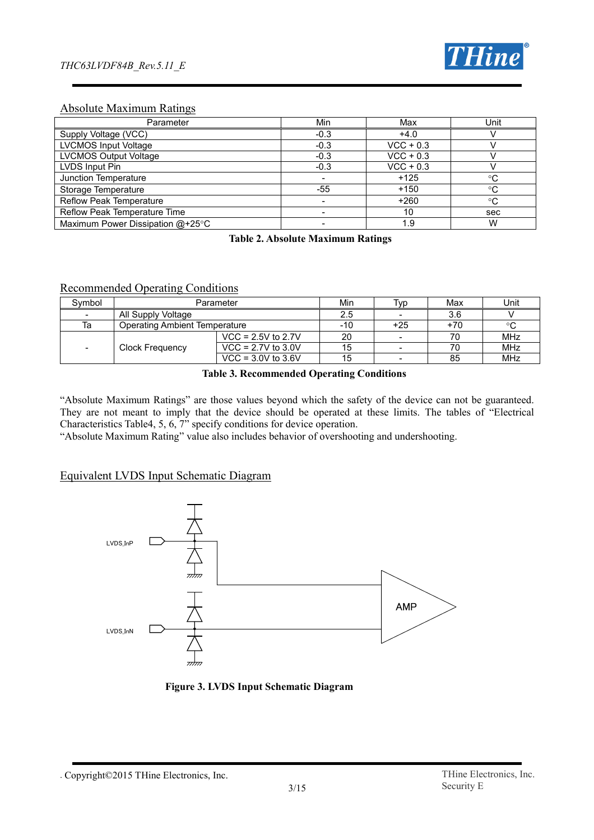

#### Absolute Maximum Ratings

| Parameter                        | Min    | Max         | Unit |
|----------------------------------|--------|-------------|------|
| Supply Voltage (VCC)             | $-0.3$ | $+4.0$      |      |
| <b>LVCMOS Input Voltage</b>      | $-0.3$ | $VCC + 0.3$ |      |
| <b>LVCMOS Output Voltage</b>     | $-0.3$ | $VCC + 0.3$ |      |
| LVDS Input Pin                   | $-0.3$ | $VCC + 0.3$ |      |
| Junction Temperature             |        | $+125$      | °C   |
| Storage Temperature              | -55    | $+150$      | °C   |
| Reflow Peak Temperature          |        | $+260$      | °C   |
| Reflow Peak Temperature Time     |        | 10          | sec  |
| Maximum Power Dissipation @+25°C |        | 1.9         | W    |

**Table 2. Absolute Maximum Ratings**

#### Recommended Operating Conditions

| Symbol                   | Parameter                     | Min                  | l VD | Max   | Unit  |            |
|--------------------------|-------------------------------|----------------------|------|-------|-------|------------|
| $\overline{\phantom{a}}$ | All Supply Voltage            | 2.5                  |      | 3.6   |       |            |
| Та                       | Operating Ambient Temperature |                      | -10  | $+25$ | $+70$ | °C         |
|                          |                               | $VCC = 2.5V$ to 2.7V | 20   |       | 70    | MHz        |
| $\overline{\phantom{a}}$ | <b>Clock Frequency</b>        | $VCC = 2.7V$ to 3.0V | 15   |       | 70    | <b>MHz</b> |
|                          |                               | $VCC = 3.0V$ to 3.6V | 15   |       | 85    | MHz        |

#### **Table 3. Recommended Operating Conditions**

"Absolute Maximum Ratings" are those values beyond which the safety of the device can not be guaranteed. They are not meant to imply that the device should be operated at these limits. The tables of "Electrical Characteristics Table4, 5, 6, 7" specify conditions for device operation.

"Absolute Maximum Rating" value also includes behavior of overshooting and undershooting.

#### Equivalent LVDS Input Schematic Diagram



**Figure 3. LVDS Input Schematic Diagram**

<sup>.</sup> Copyright©2015 THine Electronics, Inc. THine Electronics, Inc.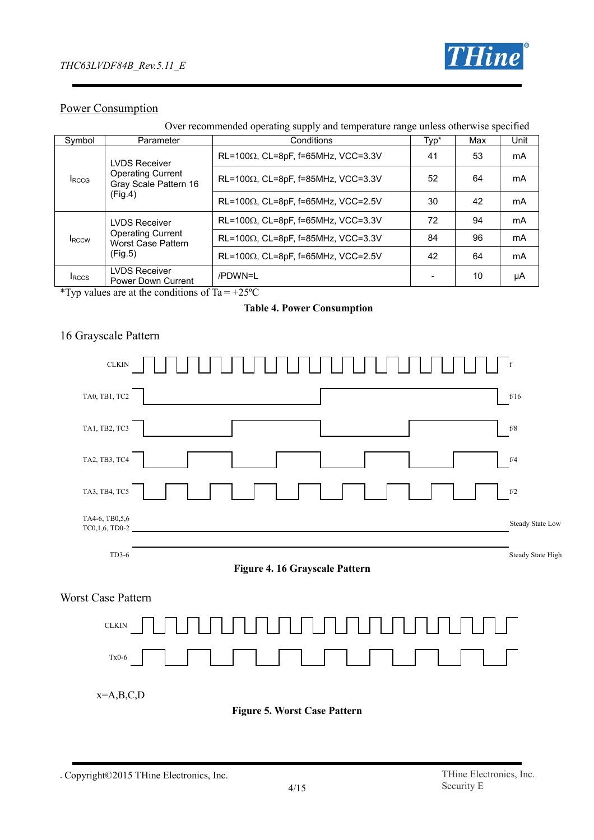

## Power Consumption

| Symbol                                                           | Parameter                                                                            | Conditions                                  | Typ* | Max | Unit |  |
|------------------------------------------------------------------|--------------------------------------------------------------------------------------|---------------------------------------------|------|-----|------|--|
| <b>I</b> RCCG                                                    | <b>LVDS Receiver</b><br><b>Operating Current</b><br>Gray Scale Pattern 16<br>(Fig.4) | RL=100 $\Omega$ , CL=8pF, f=65MHz, VCC=3.3V | 41   | 53  | mA   |  |
|                                                                  |                                                                                      | RL=100 $\Omega$ , CL=8pF, f=85MHz, VCC=3.3V | 52   | 64  | mA   |  |
|                                                                  |                                                                                      | $RL=100\Omega$ , CL=8pF, f=65MHz, VCC=2.5V  | 30   | 42  | mA   |  |
| <b>LVDS Receiver</b><br><b>Operating Current</b><br><b>IRCCW</b> |                                                                                      | $RL=100\Omega$ , CL=8pF, f=65MHz, VCC=3.3V  | 72   | 94  | mA   |  |
|                                                                  | <b>Worst Case Pattern</b>                                                            | RL=100 $\Omega$ , CL=8pF, f=85MHz, VCC=3.3V | 84   | 96  | mA   |  |
|                                                                  | (Fig.5)                                                                              | RL=100 $\Omega$ , CL=8pF, f=65MHz, VCC=2.5V | 42   | 64  | mA   |  |
| <b>I</b> RCCS                                                    | <b>LVDS Receiver</b><br>Power Down Current                                           | /PDWN=I                                     |      | 10  | μA   |  |
| *Typ values are at the conditions of $Ta = +25^{\circ}C$         |                                                                                      |                                             |      |     |      |  |

Typ values are at the conditions of  $Ta =$ 

#### **Table 4. Power Consumption**

## 16 Grayscale Pattern



<sup>.</sup> Copyright©2015 THine Electronics, Inc. THine Electronics, Inc.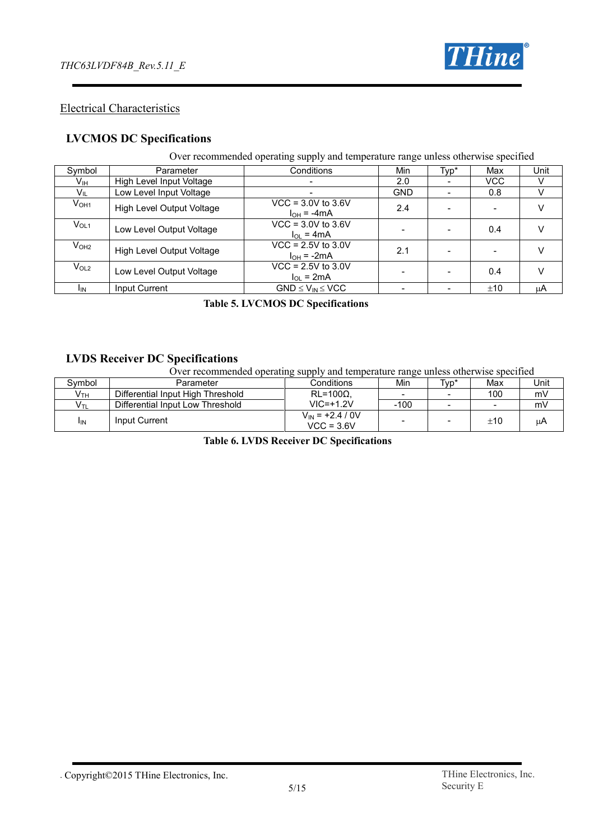

#### Electrical Characteristics

#### **LVCMOS DC Specifications**

#### Over recommended operating supply and temperature range unless otherwise specified

| Symbol           | Parameter                 | Conditions                                  | Min        | Typ* | Max        | Unit |
|------------------|---------------------------|---------------------------------------------|------------|------|------------|------|
| Vıн              | High Level Input Voltage  |                                             | 2.0        |      | <b>VCC</b> |      |
| V <sub>IL</sub>  | Low Level Input Voltage   |                                             | <b>GND</b> |      | 0.8        |      |
| V <sub>OH1</sub> | High Level Output Voltage | $VCC = 3.0V$ to 3.6V<br>$I_{OH} = -4mA$     | 2.4        |      |            |      |
| $V_{OL1}$        | Low Level Output Voltage  | $VCC = 3.0V$ to 3.6V<br>$\ln = 4 \text{mA}$ |            |      | 0.4        |      |
| V <sub>OH2</sub> | High Level Output Voltage | $VCC = 2.5V$ to 3.0V<br>$I_{OH}$ = -2mA     | 2.1        |      |            |      |
| V <sub>OL2</sub> | Low Level Output Voltage  | $VCC = 2.5V$ to 3.0V<br>$I_{OL}$ = 2mA      |            |      | 0.4        |      |
| I <sub>IN</sub>  | Input Current             | $GND \leq V_{IN} \leq VCC$                  |            |      | ±10        | μA   |

#### **Table 5. LVCMOS DC Specifications**

#### **LVDS Receiver DC Specifications**

Over recommended operating supply and temperature range unless otherwise specified

| Svmbol          | Parameter                         | Conditions                           | Min    | Typ* | Max      | Unit |
|-----------------|-----------------------------------|--------------------------------------|--------|------|----------|------|
| V <sub>TH</sub> | Differential Input High Threshold | $RL = 100\Omega$                     |        |      | 100      | mV   |
| Vтı             | Differential Input Low Threshold  | $VIC = +1.2V$                        | $-100$ |      |          | mV   |
| <sup>I</sup> IN | Input Current                     | $V_{IN}$ = +2.4 / 0V<br>$VCC = 3.6V$ |        |      | $\pm 10$ | μA   |

**Table 6. LVDS Receiver DC Specifications**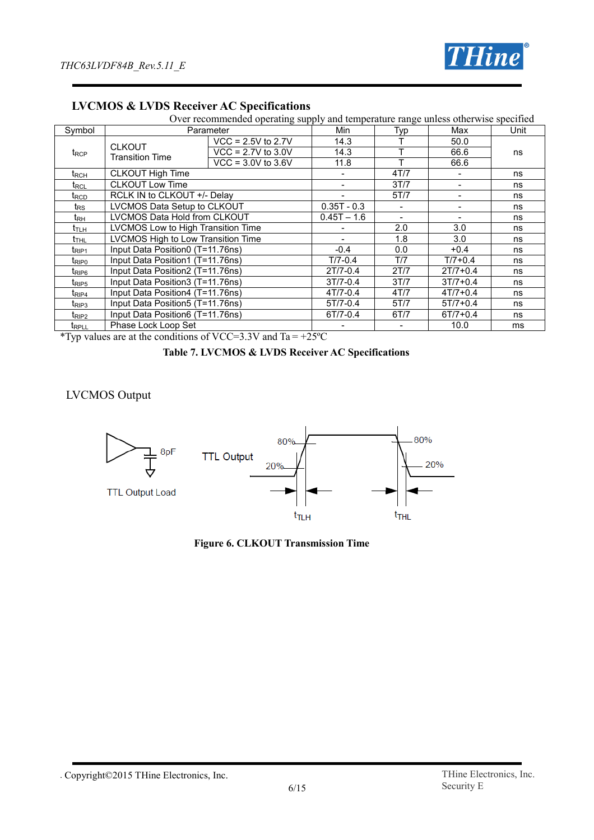

|                             | Over recommended operating supply and temperature range unless otherwise specified |                        |               |      |              |    |  |  |
|-----------------------------|------------------------------------------------------------------------------------|------------------------|---------------|------|--------------|----|--|--|
| Symbol                      | Parameter                                                                          | Min                    | Typ           | Max  | Unit         |    |  |  |
|                             | <b>CLKOUT</b>                                                                      | $VCC = 2.5V$ to 2.7V   | 14.3          |      | 50.0         |    |  |  |
| t <sub>RCP</sub>            | <b>Transition Time</b>                                                             | $VCC = 2.7V$ to 3.0V   | 14.3          | т    | 66.6         | ns |  |  |
|                             |                                                                                    | $VCC = 3.0V$ to $3.6V$ | 11.8          |      | 66.6         |    |  |  |
| $\mathsf{t}_{\mathsf{RCH}}$ | <b>CLKOUT High Time</b>                                                            |                        |               | 4T/7 |              | ns |  |  |
| $t_{\text{RCL}}$            | <b>CLKOUT Low Time</b>                                                             |                        |               | 3T/7 |              | ns |  |  |
| $t_{\scriptstyle\rm RCD}$   | RCLK IN to CLKOUT +/- Delay                                                        |                        |               | 5T/7 |              | ns |  |  |
| $t_{\mathsf{RS}}$           | LVCMOS Data Setup to CLKOUT                                                        |                        | $0.35T - 0.3$ |      |              | ns |  |  |
| $t_{\mathsf{RH}}$           | LVCMOS Data Hold from CLKOUT                                                       |                        | $0.45T - 1.6$ |      |              | ns |  |  |
| t <sub>tuh</sub>            | LVCMOS Low to High Transition Time                                                 |                        |               | 2.0  | 3.0          | ns |  |  |
| t <sub>thl</sub>            | LVCMOS High to Low Transition Time                                                 |                        |               | 1.8  | 3.0          | ns |  |  |
| t <sub>RIP1</sub>           | Input Data Position0 (T=11.76ns)                                                   |                        | $-0.4$        | 0.0  | $+0.4$       | ns |  |  |
| tripo                       | Input Data Position1 (T=11.76ns)                                                   |                        | $T/7 - 0.4$   | T/7  | $T/7 + 0.4$  | ns |  |  |
| t <sub>RIP6</sub>           | Input Data Position2 (T=11.76ns)                                                   |                        | $2T/7-0.4$    | 2T/7 | $2T/7 + 0.4$ | ns |  |  |
| t <sub>RIP5</sub>           | Input Data Position3 (T=11.76ns)                                                   |                        | $3T/7 - 0.4$  | 3T/7 | $3T/7 + 0.4$ | ns |  |  |
| t <sub>RIP4</sub>           | Input Data Position4 (T=11.76ns)                                                   |                        | $4T/7 - 0.4$  | 4T/7 | $4T/7 + 0.4$ | ns |  |  |
| $t_{\text{RIP3}}$           | Input Data Position 5 (T=11.76ns)                                                  |                        | $5T/7 - 0.4$  | 5T/7 | $5T/7 + 0.4$ | ns |  |  |
| t <sub>RIP2</sub>           | Input Data Position6 (T=11.76ns)                                                   |                        | $6T/7 - 0.4$  | 6T/7 | $6T/7 + 0.4$ | ns |  |  |
| <b>TRPLL</b>                | Phase Lock Loop Set                                                                |                        |               |      | 10.0         | ms |  |  |

#### **LVCMOS & LVDS Receiver AC Specifications**

\*Typ values are at the conditions of VCC=3.3V and Ta =  $+25^{\circ}$ C

#### **Table 7. LVCMOS & LVDS Receiver AC Specifications**

#### LVCMOS Output



**Figure 6. CLKOUT Transmission Time**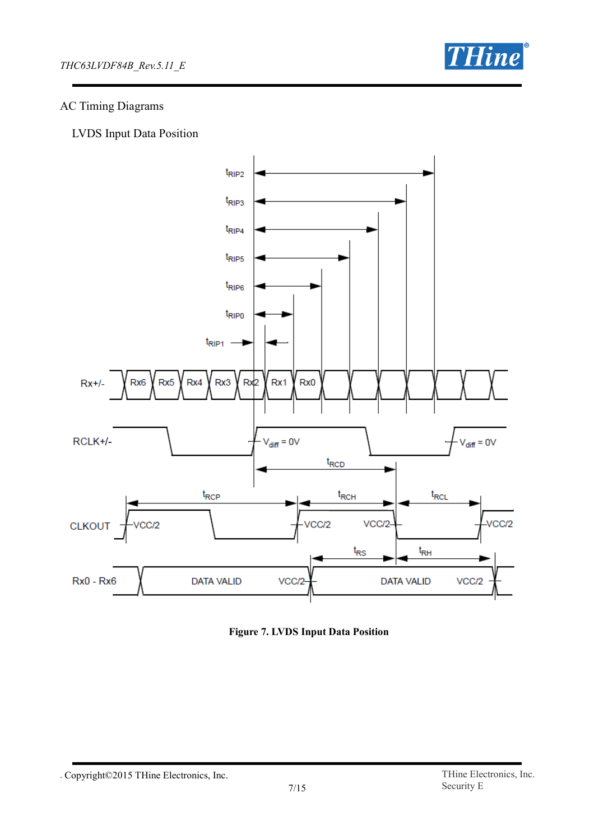

## AC Timing Diagrams

LVDS Input Data Position



**Figure 7. LVDS Input Data Position**

<sup>.</sup> Copyright©2015 THine Electronics, Inc. THine Electronics, Inc.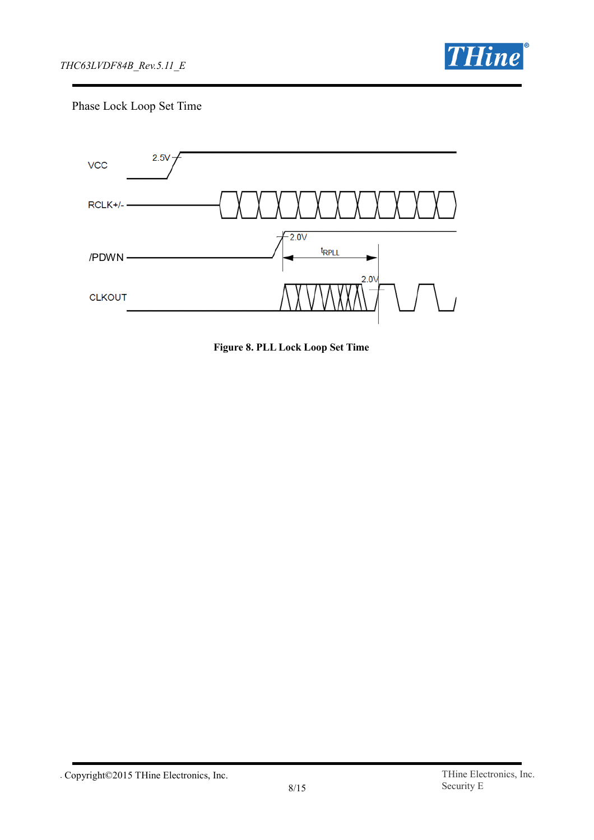

Phase Lock Loop Set Time



**Figure 8. PLL Lock Loop Set Time**

<sup>.</sup> Copyright©2015 THine Electronics, Inc. THine Electronics, Inc.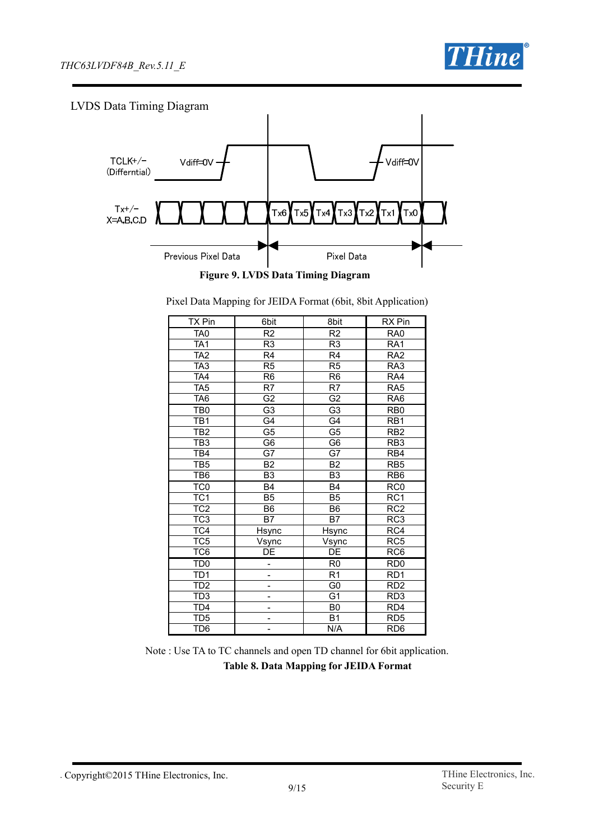

## LVDS Data Timing Diagram



Pixel Data Mapping for JEIDA Format (6bit, 8bit Application)

| TX Pin           | 6bit                     | 8bit            | <b>RX</b> Pin    |
|------------------|--------------------------|-----------------|------------------|
| TA <sub>0</sub>  | R2                       | R <sub>2</sub>  | RA <sub>0</sub>  |
| TA <sub>1</sub>  | R3                       | R <sub>3</sub>  | RA <sub>1</sub>  |
| TA <sub>2</sub>  | R <sub>4</sub>           | R <sub>4</sub>  | RA <sub>2</sub>  |
| TA <sub>3</sub>  | R <sub>5</sub>           | R <sub>5</sub>  | RA3              |
| TA4              | R <sub>6</sub>           | R <sub>6</sub>  | RA4              |
| TA <sub>5</sub>  | R7                       | R7              | RA <sub>5</sub>  |
| TA <sub>6</sub>  | G <sub>2</sub>           | G <sub>2</sub>  | RA <sub>6</sub>  |
| TB <sub>0</sub>  | G <sub>3</sub>           | G <sub>3</sub>  | RB <sub>0</sub>  |
| TB <sub>1</sub>  | $\overline{\mathsf{G4}}$ | G4              | $\overline{RB1}$ |
| TB <sub>2</sub>  | G <sub>5</sub>           | G5              | R <sub>B2</sub>  |
| $\overline{TB3}$ | $\overline{G6}$          | $\overline{G6}$ | $\overline{RB3}$ |
| TB4              | G7                       | G7              | RB4              |
| TB <sub>5</sub>  | $\overline{B2}$          | $\overline{B2}$ | RB5              |
| TB6              | B <sub>3</sub>           | B <sub>3</sub>  | RB <sub>6</sub>  |
| TC <sub>0</sub>  | <b>B4</b>                | B <sub>4</sub>  | RC <sub>0</sub>  |
| TC <sub>1</sub>  | B <sub>5</sub>           | B <sub>5</sub>  | RC <sub>1</sub>  |
| TC <sub>2</sub>  | B6                       | B <sub>6</sub>  | $\overline{RC2}$ |
| TC <sub>3</sub>  | <b>B7</b>                | B7              | RC3              |
| TC4              | Hsync                    | Hsync           | $\overline{RC4}$ |
| TC <sub>5</sub>  | V <sub>sync</sub>        | Vsync           | RC5              |
| TC6              | DE                       | DE              | RC <sub>6</sub>  |
| TD <sub>0</sub>  |                          | R <sub>0</sub>  | RD <sub>0</sub>  |
| TD <sub>1</sub>  | -                        | R <sub>1</sub>  | RD <sub>1</sub>  |
| TD <sub>2</sub>  | -                        | G <sub>0</sub>  | RD <sub>2</sub>  |
| TD3              | $\overline{\phantom{0}}$ | G1              | RD <sub>3</sub>  |
| TD <sub>4</sub>  | -                        | B <sub>0</sub>  | RD4              |
| TD <sub>5</sub>  | -                        | <b>B1</b>       | RD <sub>5</sub>  |
| TD <sub>6</sub>  | -                        | N/A             | RD <sub>6</sub>  |

Note : Use TA to TC channels and open TD channel for 6bit application. **Table 8. Data Mapping for JEIDA Format**

<sup>.</sup> Copyright©2015 THine Electronics, Inc. THine Electronics, Inc.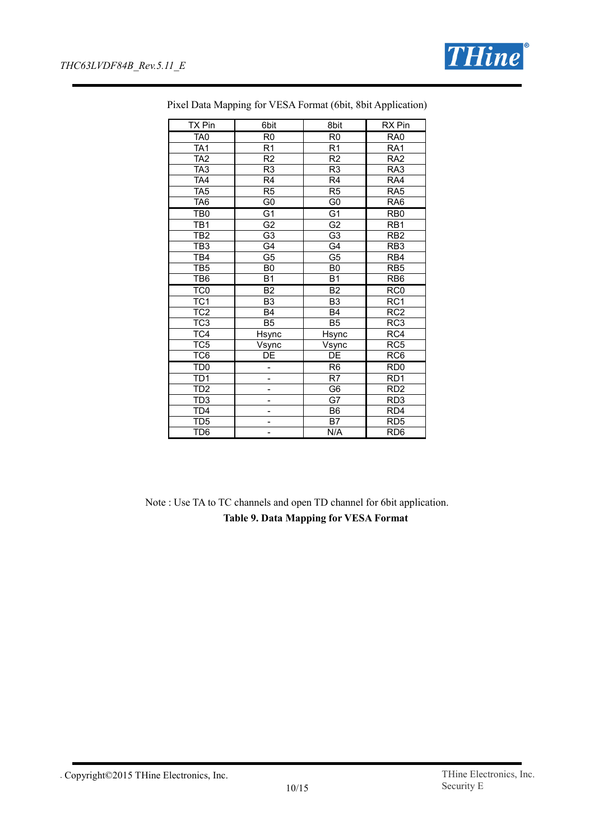

| <b>TX Pin</b>   | 6bit            | 8bit            | <b>RX</b> Pin    |
|-----------------|-----------------|-----------------|------------------|
| TA <sub>0</sub> | R <sub>0</sub>  | R <sub>0</sub>  | RA <sub>0</sub>  |
| TA <sub>1</sub> | R <sub>1</sub>  | R <sub>1</sub>  | RA <sub>1</sub>  |
| TA <sub>2</sub> | $\overline{R2}$ | $\overline{R2}$ | RA <sub>2</sub>  |
| TA <sub>3</sub> | R <sub>3</sub>  | R <sub>3</sub>  | RA3              |
| TA4             | R <sub>4</sub>  | R <sub>4</sub>  | RA4              |
| TA <sub>5</sub> | R <sub>5</sub>  | R <sub>5</sub>  | RA <sub>5</sub>  |
| TA <sub>6</sub> | G <sub>0</sub>  | G <sub>0</sub>  | RA <sub>6</sub>  |
| TB <sub>0</sub> | G <sub>1</sub>  | G <sub>1</sub>  | RB <sub>0</sub>  |
| TB <sub>1</sub> | G <sub>2</sub>  | G2              | RB <sub>1</sub>  |
| TB2             | $\overline{G3}$ | G <sub>3</sub>  | RB <sub>2</sub>  |
| TB <sub>3</sub> | G4              | G4              | RB <sub>3</sub>  |
| TB4             | G <sub>5</sub>  | G <sub>5</sub>  | RB4              |
| TB <sub>5</sub> | B <sub>0</sub>  | B <sub>0</sub>  | RB <sub>5</sub>  |
| TB6             | <b>B1</b>       | B <sub>1</sub>  | RB <sub>6</sub>  |
| TC <sub>0</sub> | B <sub>2</sub>  | <b>B2</b>       | RC <sub>0</sub>  |
| TC <sub>1</sub> | B <sub>3</sub>  | B <sub>3</sub>  | RC1              |
| TC <sub>2</sub> | <b>B4</b>       | B <sub>4</sub>  | RC <sub>2</sub>  |
| TC <sub>3</sub> | B <sub>5</sub>  | B <sub>5</sub>  | RC <sub>3</sub>  |
| TC4             | <b>Hsync</b>    | <b>Hsync</b>    | $\overline{RC4}$ |
| TC <sub>5</sub> | Vsync           | Vsync           | RC <sub>5</sub>  |
| TC <sub>6</sub> | DE              | $\overline{DE}$ | RC <sub>6</sub>  |
| TD <sub>0</sub> | $\overline{a}$  | R <sub>6</sub>  | RD <sub>0</sub>  |
| TD <sub>1</sub> | ÷,              | R7              | RD <sub>1</sub>  |
| TD2             | -               | G <sub>6</sub>  | R <sub>D</sub> 2 |
| TD <sub>3</sub> | -               | G7              | RD <sub>3</sub>  |
| TD <sub>4</sub> | -               | B <sub>6</sub>  | RD <sub>4</sub>  |
| TD <sub>5</sub> | -               | B7              | RD <sub>5</sub>  |
| TD <sub>6</sub> | -               | N/A             | RD <sub>6</sub>  |

Pixel Data Mapping for VESA Format (6bit, 8bit Application)

Note : Use TA to TC channels and open TD channel for 6bit application. **Table 9. Data Mapping for VESA Format**

<sup>.</sup> Copyright©2015 THine Electronics, Inc. THine Electronics, Inc.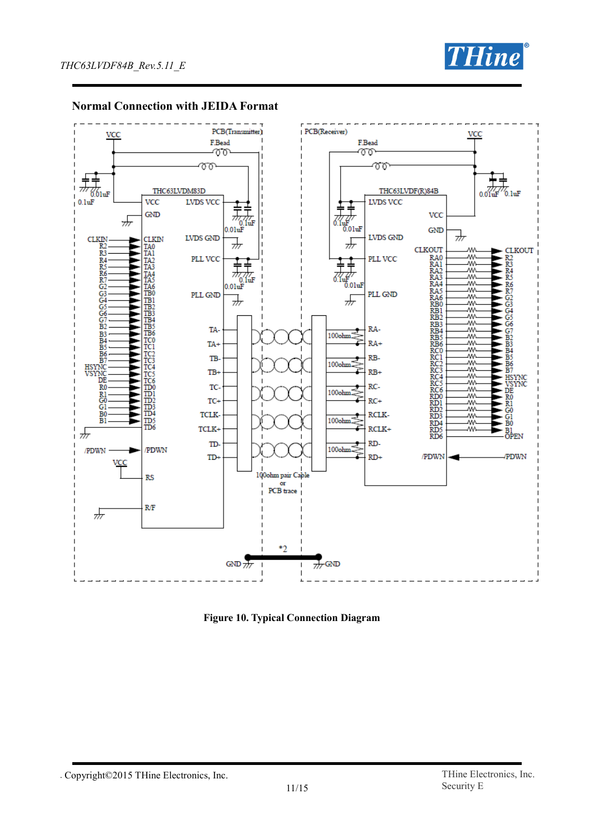



#### **Normal Connection with JEIDA Format**

**Figure 10. Typical Connection Diagram**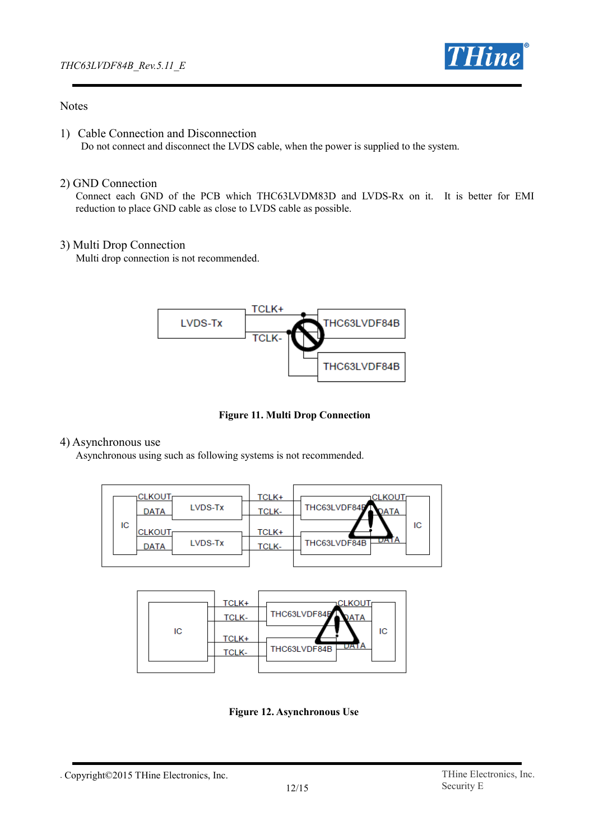

#### **Notes**

1) Cable Connection and Disconnection Do not connect and disconnect the LVDS cable, when the power is supplied to the system.

#### 2) GND Connection

Connect each GND of the PCB which THC63LVDM83D and LVDS-Rx on it. It is better for EMI reduction to place GND cable as close to LVDS cable as possible.

#### 3) Multi Drop Connection

Multi drop connection is not recommended.



**Figure 11. Multi Drop Connection**

#### 4) Asynchronous use

Asynchronous using such as following systems is not recommended.





**Figure 12. Asynchronous Use**

<sup>.</sup> Copyright©2015 THine Electronics, Inc. THine Electronics, Inc.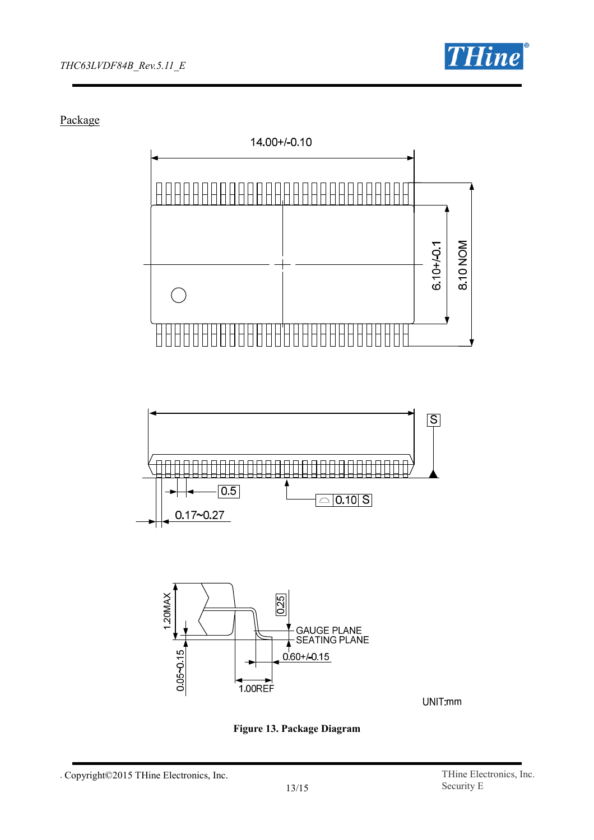

Package







UNIT:mm



<sup>.</sup> Copyright©2015 THine Electronics, Inc. THine Electronics, Inc.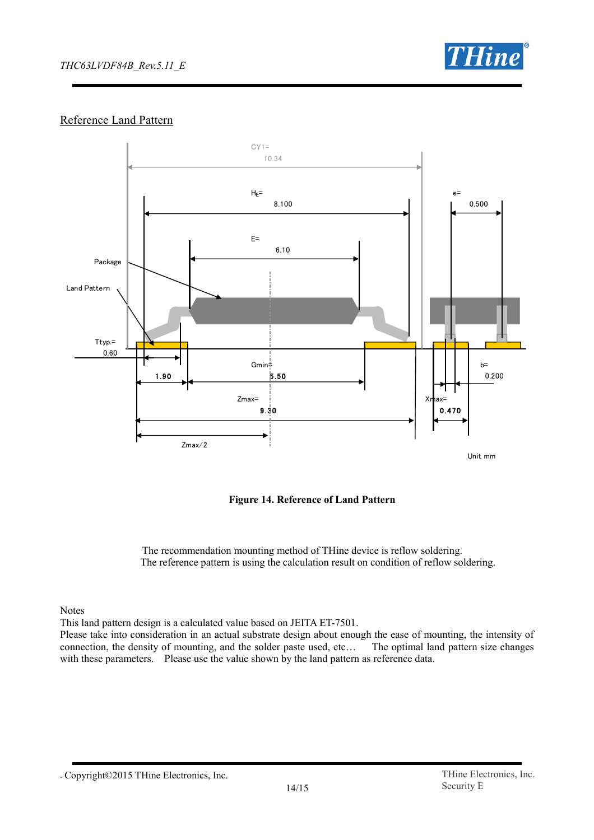

## Reference Land Pattern



**Figure 14. Reference of Land Pattern**

The recommendation mounting method of THine device is reflow soldering. The reference pattern is using the calculation result on condition of reflow soldering.

**Notes** 

This land pattern design is a calculated value based on JEITA ET-7501.

Please take into consideration in an actual substrate design about enough the ease of mounting, the intensity of connection, the density of mounting, and the solder paste used, etc… The optimal land pattern size changes with these parameters. Please use the value shown by the land pattern as reference data.